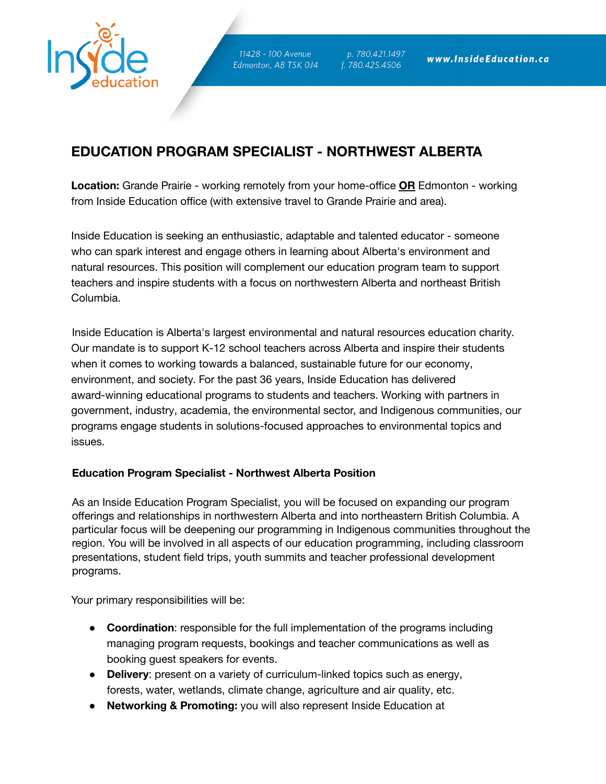

11428 - 100 Avenue Edmonton, AB T5K 0J4

p. 780.421.1497  $\overline{f}$ . 780.425.4506

# **EDUCATION PROGRAM SPECIALIST - NORTHWEST ALBERTA**

**Location:** Grande Prairie - working remotely from your home-office **OR** Edmonton - working from Inside Education office (with extensive travel to Grande Prairie and area).

Inside Education is seeking an enthusiastic, adaptable and talented educator - someone who can spark interest and engage others in learning about Alberta's environment and natural resources. This position will complement our education program team to support teachers and inspire students with a focus on northwestern Alberta and northeast British Columbia.

Inside Education is Alberta's largest environmental and natural resources education charity. Our mandate is to support K-12 school teachers across Alberta and inspire their students when it comes to working towards a balanced, sustainable future for our economy, environment, and society. For the past 36 years, Inside Education has delivered award-winning educational programs to students and teachers. Working with partners in government, industry, academia, the environmental sector, and Indigenous communities, our programs engage students in solutions-focused approaches to environmental topics and issues.

## **Education Program Specialist - Northwest Alberta Position**

As an Inside Education Program Specialist, you will be focused on expanding our program offerings and relationships in northwestern Alberta and into northeastern British Columbia. A particular focus will be deepening our programming in Indigenous communities throughout the region. You will be involved in all aspects of our education programming, including classroom presentations, student field trips, youth summits and teacher professional development programs.

Your primary responsibilities will be:

- **Coordination**: responsible for the full implementation of the programs including managing program requests, bookings and teacher communications as well as booking guest speakers for events.
- **Delivery**: present on a variety of curriculum-linked topics such as energy, forests, water, wetlands, climate change, agriculture and air quality, etc.
- **Networking & Promoting:** you will also represent Inside Education at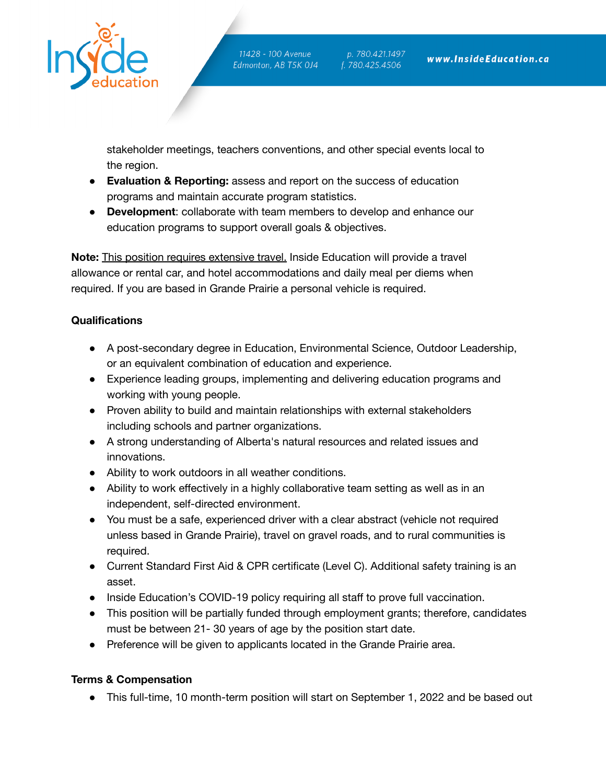

11428 - 100 Avenue Edmonton, AB T5K 0J4

p. 780.421.1497 f. 780.425.4506

stakeholder meetings, teachers conventions, and other special events local to the region.

- **Evaluation & Reporting:** assess and report on the success of education programs and maintain accurate program statistics.
- **Development**: collaborate with team members to develop and enhance our education programs to support overall goals & objectives.

**Note:** This position requires extensive travel. Inside Education will provide a travel allowance or rental car, and hotel accommodations and daily meal per diems when required. If you are based in Grande Prairie a personal vehicle is required.

# **Qualifications**

- A post-secondary degree in Education, Environmental Science, Outdoor Leadership, or an equivalent combination of education and experience.
- Experience leading groups, implementing and delivering education programs and working with young people.
- Proven ability to build and maintain relationships with external stakeholders including schools and partner organizations.
- A strong understanding of Alberta's natural resources and related issues and innovations.
- Ability to work outdoors in all weather conditions.
- Ability to work effectively in a highly collaborative team setting as well as in an independent, self-directed environment.
- You must be a safe, experienced driver with a clear abstract (vehicle not required unless based in Grande Prairie), travel on gravel roads, and to rural communities is required.
- Current Standard First Aid & CPR certificate (Level C). Additional safety training is an asset.
- Inside Education's COVID-19 policy requiring all staff to prove full vaccination.
- This position will be partially funded through employment grants; therefore, candidates must be between 21- 30 years of age by the position start date.
- Preference will be given to applicants located in the Grande Prairie area.

## **Terms & Compensation**

● This full-time, 10 month-term position will start on September 1, 2022 and be based out